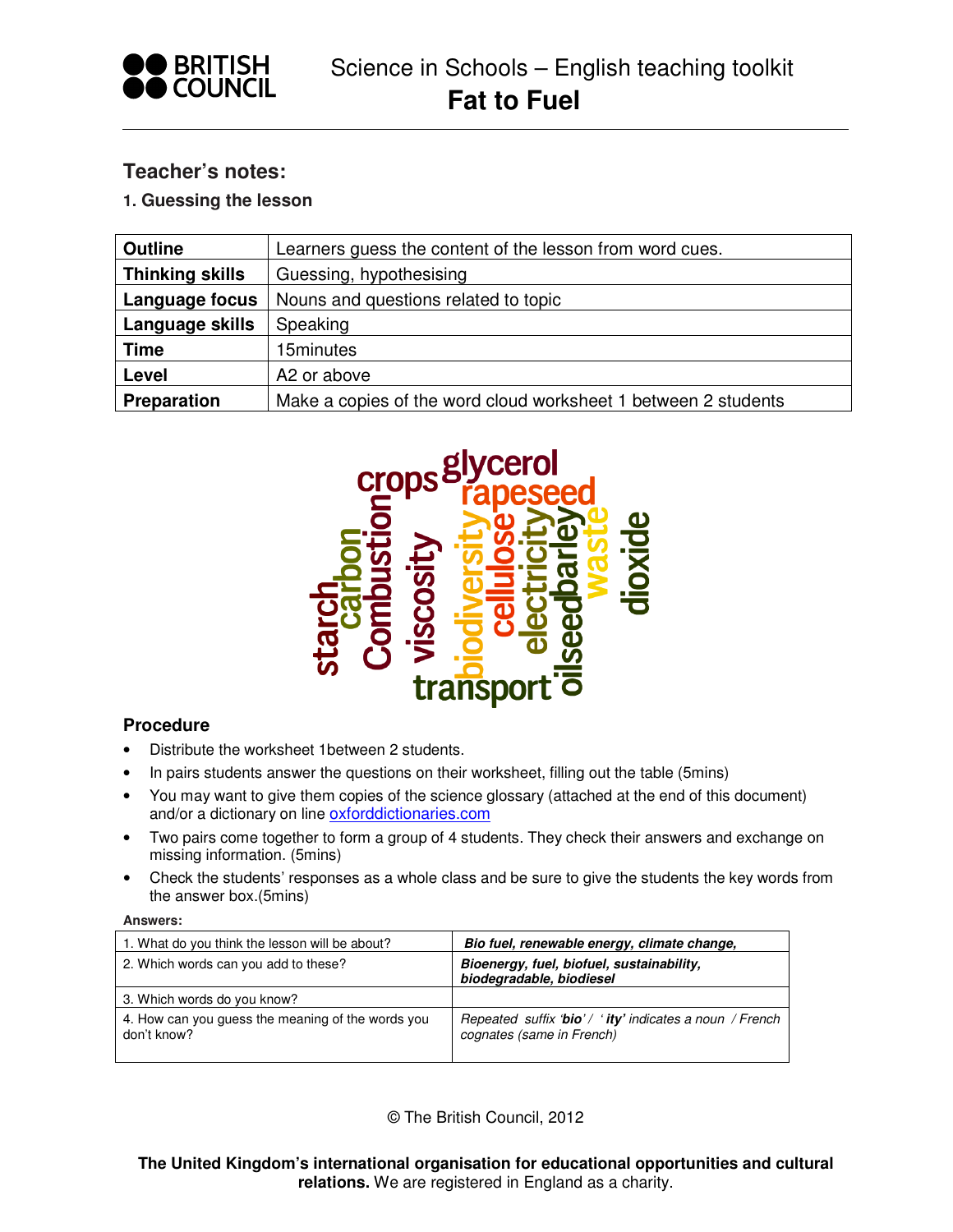

# **Teacher's notes:**

## **1. Guessing the lesson**

| <b>Outline</b>         | Learners guess the content of the lesson from word cues.       |
|------------------------|----------------------------------------------------------------|
| <b>Thinking skills</b> | Guessing, hypothesising                                        |
| Language focus         | Nouns and questions related to topic                           |
| Language skills        | Speaking                                                       |
| <b>Time</b>            | 15minutes                                                      |
| Level                  | A2 or above                                                    |
| <b>Preparation</b>     | Make a copies of the word cloud worksheet 1 between 2 students |



## **Procedure**

- Distribute the worksheet 1between 2 students.
- In pairs students answer the questions on their worksheet, filling out the table (5mins)
- You may want to give them copies of the science glossary (attached at the end of this document) and/or a dictionary on line oxforddictionaries.com
- Two pairs come together to form a group of 4 students. They check their answers and exchange on missing information. (5mins)
- Check the students' responses as a whole class and be sure to give the students the key words from the answer box.(5mins)

#### **Answers:**

| 1. What do you think the lesson will be about?                   | Bio fuel, renewable energy, climate change,                                           |
|------------------------------------------------------------------|---------------------------------------------------------------------------------------|
| 2. Which words can you add to these?                             | Bioenergy, fuel, biofuel, sustainability,<br>biodegradable, biodiesel                 |
| 3. Which words do you know?                                      |                                                                                       |
| 4. How can you guess the meaning of the words you<br>don't know? | Repeated suffix 'bio' / ' ity' indicates a noun / French<br>cognates (same in French) |

© The British Council, 2012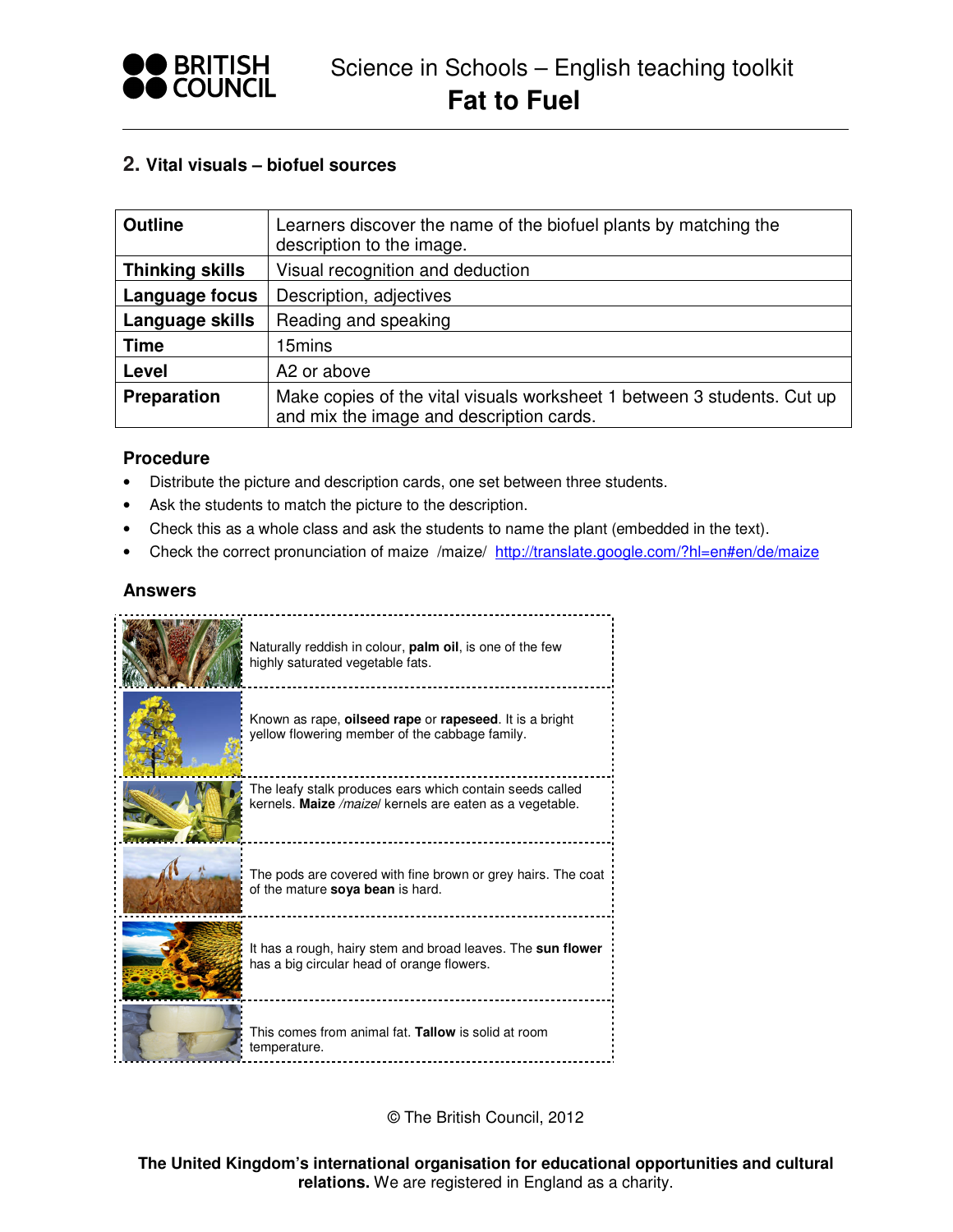

## **2. Vital visuals – biofuel sources**

| <b>Outline</b>         | Learners discover the name of the biofuel plants by matching the<br>description to the image.                       |
|------------------------|---------------------------------------------------------------------------------------------------------------------|
| <b>Thinking skills</b> | Visual recognition and deduction                                                                                    |
| Language focus         | Description, adjectives                                                                                             |
| Language skills        | Reading and speaking                                                                                                |
| <b>Time</b>            | 15mins                                                                                                              |
| Level                  | A2 or above                                                                                                         |
| Preparation            | Make copies of the vital visuals worksheet 1 between 3 students. Cut up<br>and mix the image and description cards. |

#### **Procedure**

- Distribute the picture and description cards, one set between three students.
- Ask the students to match the picture to the description.
- Check this as a whole class and ask the students to name the plant (embedded in the text).
- Check the correct pronunciation of maize /maize/ http://translate.google.com/?hl=en#en/de/maize

## **Answers**



© The British Council, 2012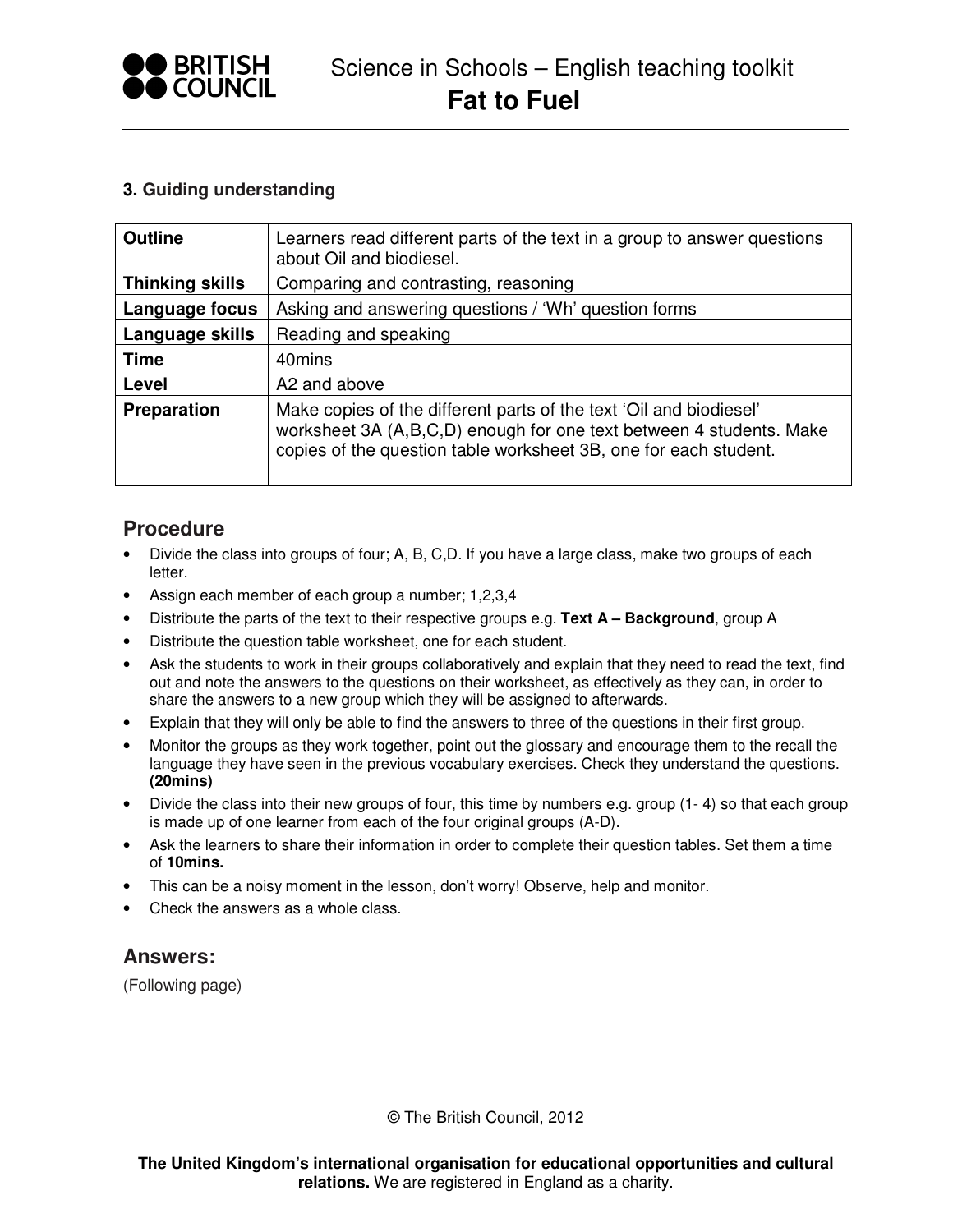

## **3. Guiding understanding**

| <b>Outline</b>         | Learners read different parts of the text in a group to answer questions<br>about Oil and biodiesel.                                                                                                          |
|------------------------|---------------------------------------------------------------------------------------------------------------------------------------------------------------------------------------------------------------|
| <b>Thinking skills</b> | Comparing and contrasting, reasoning                                                                                                                                                                          |
| Language focus         | Asking and answering questions / 'Wh' question forms                                                                                                                                                          |
| Language skills        | Reading and speaking                                                                                                                                                                                          |
| <b>Time</b>            | 40mins                                                                                                                                                                                                        |
| Level                  | A2 and above                                                                                                                                                                                                  |
| Preparation            | Make copies of the different parts of the text 'Oil and biodiesel'<br>worksheet 3A (A,B,C,D) enough for one text between 4 students. Make<br>copies of the question table worksheet 3B, one for each student. |

## **Procedure**

- Divide the class into groups of four; A, B, C, D. If you have a large class, make two groups of each letter.
- Assign each member of each group a number; 1,2,3,4
- Distribute the parts of the text to their respective groups e.g. **Text A Background**, group A
- Distribute the question table worksheet, one for each student.
- Ask the students to work in their groups collaboratively and explain that they need to read the text, find out and note the answers to the questions on their worksheet, as effectively as they can, in order to share the answers to a new group which they will be assigned to afterwards.
- Explain that they will only be able to find the answers to three of the questions in their first group.
- Monitor the groups as they work together, point out the glossary and encourage them to the recall the language they have seen in the previous vocabulary exercises. Check they understand the questions. **(20mins)**
- Divide the class into their new groups of four, this time by numbers e.g. group (1-4) so that each group is made up of one learner from each of the four original groups (A-D).
- Ask the learners to share their information in order to complete their question tables. Set them a time of **10mins.**
- This can be a noisy moment in the lesson, don't worry! Observe, help and monitor.
- Check the answers as a whole class.

## **Answers:**

(Following page)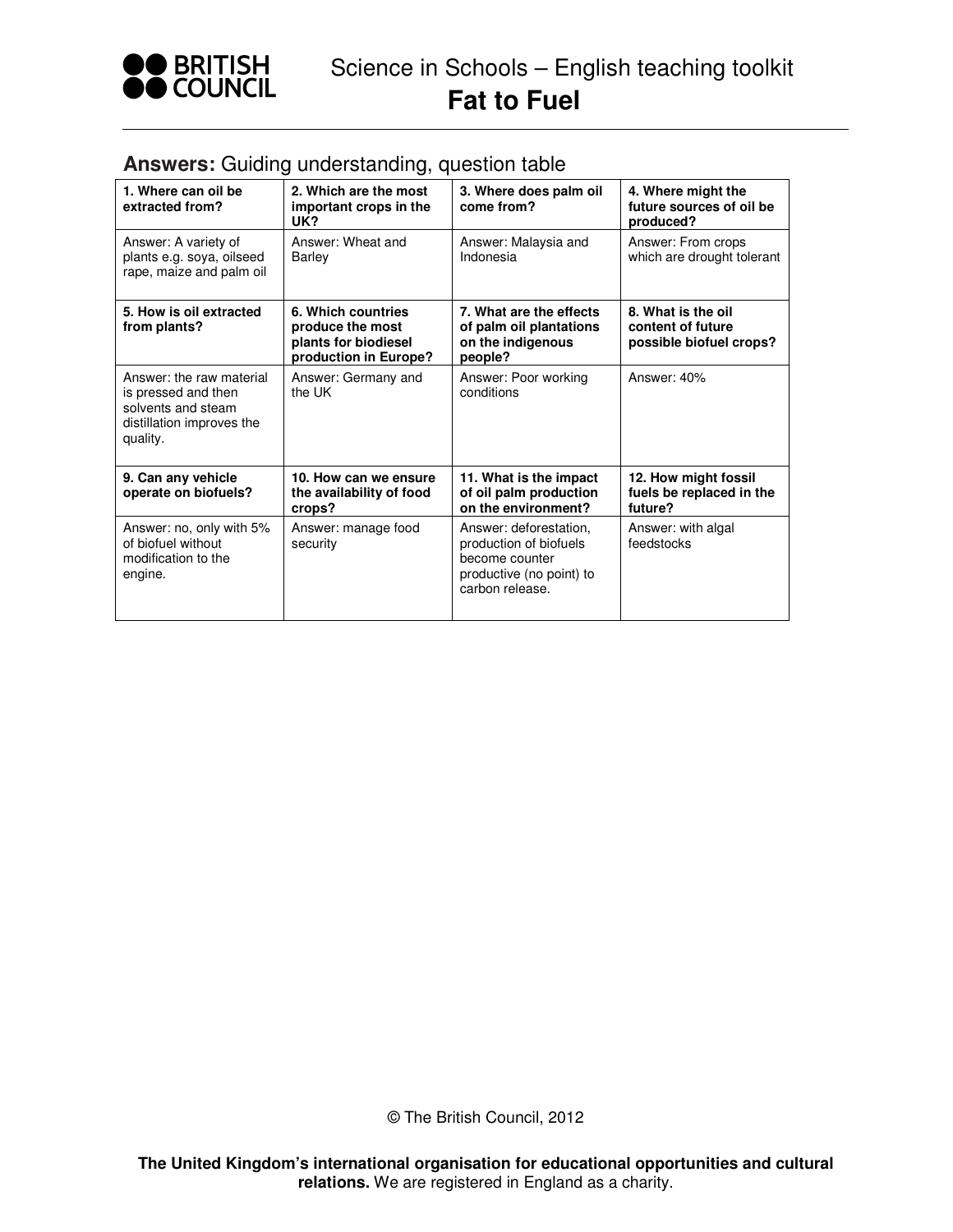

| 1. Where can oil be<br>extracted from?                                                                         | 2. Which are the most<br>important crops in the<br>UK?                                  | 3. Where does palm oil<br>come from?                                                                              | 4. Where might the<br>future sources of oil be<br>produced?        |
|----------------------------------------------------------------------------------------------------------------|-----------------------------------------------------------------------------------------|-------------------------------------------------------------------------------------------------------------------|--------------------------------------------------------------------|
| Answer: A variety of<br>plants e.g. soya, oilseed<br>rape, maize and palm oil                                  | Answer: Wheat and<br>Barley                                                             | Answer: Malaysia and<br>Indonesia                                                                                 | Answer: From crops<br>which are drought tolerant                   |
| 5. How is oil extracted<br>from plants?                                                                        | 6. Which countries<br>produce the most<br>plants for biodiesel<br>production in Europe? | 7. What are the effects<br>of palm oil plantations<br>on the indigenous<br>people?                                | 8. What is the oil<br>content of future<br>possible biofuel crops? |
| Answer: the raw material<br>is pressed and then<br>solvents and steam<br>distillation improves the<br>quality. | Answer: Germany and<br>the UK                                                           | Answer: Poor working<br>conditions                                                                                | Answer: 40%                                                        |
| 9. Can any vehicle<br>operate on biofuels?                                                                     | 10. How can we ensure<br>the availability of food<br>crops?                             | 11. What is the impact<br>of oil palm production<br>on the environment?                                           | 12. How might fossil<br>fuels be replaced in the<br>future?        |
| Answer: no, only with 5%<br>of biofuel without<br>modification to the<br>engine.                               | Answer: manage food<br>security                                                         | Answer: deforestation,<br>production of biofuels<br>become counter<br>productive (no point) to<br>carbon release. | Answer: with algal<br>feedstocks                                   |

## **Answers:** Guiding understanding, question table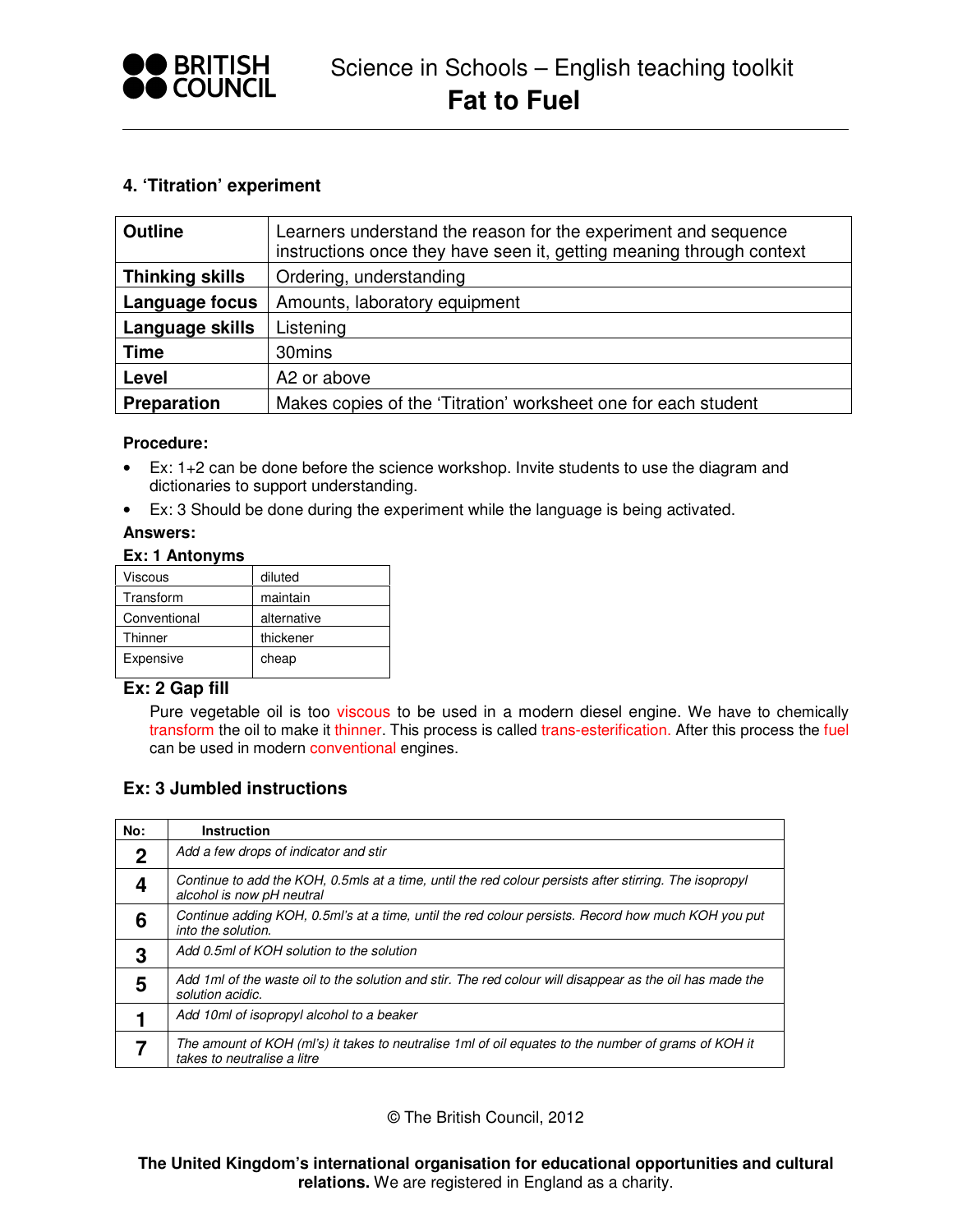

## **4. 'Titration' experiment**

| <b>Outline</b>         | Learners understand the reason for the experiment and sequence<br>instructions once they have seen it, getting meaning through context |
|------------------------|----------------------------------------------------------------------------------------------------------------------------------------|
| <b>Thinking skills</b> | Ordering, understanding                                                                                                                |
| Language focus         | Amounts, laboratory equipment                                                                                                          |
| Language skills        | Listening                                                                                                                              |
| <b>Time</b>            | 30mins                                                                                                                                 |
| Level                  | A2 or above                                                                                                                            |
| <b>Preparation</b>     | Makes copies of the 'Titration' worksheet one for each student                                                                         |

#### **Procedure:**

- Ex: 1+2 can be done before the science workshop. Invite students to use the diagram and dictionaries to support understanding.
- Ex: 3 Should be done during the experiment while the language is being activated.

#### **Answers:**

#### **Ex: 1 Antonyms**

| Viscous      | diluted     |
|--------------|-------------|
| Transform    | maintain    |
| Conventional | alternative |
| Thinner      | thickener   |
| Expensive    | cheap       |

## **Ex: 2 Gap fill**

Pure vegetable oil is too viscous to be used in a modern diesel engine. We have to chemically transform the oil to make it thinner. This process is called trans-esterification. After this process the fuel can be used in modern conventional engines.

## **Ex: 3 Jumbled instructions**

| No:         | <b>Instruction</b>                                                                                                                  |
|-------------|-------------------------------------------------------------------------------------------------------------------------------------|
| $\mathbf 2$ | Add a few drops of indicator and stir                                                                                               |
|             | Continue to add the KOH, 0.5mls at a time, until the red colour persists after stirring. The isopropyl<br>alcohol is now pH neutral |
| 6           | Continue adding KOH, 0.5ml's at a time, until the red colour persists. Record how much KOH you put<br>into the solution.            |
| 3           | Add 0.5ml of KOH solution to the solution                                                                                           |
| 5           | Add 1ml of the waste oil to the solution and stir. The red colour will disappear as the oil has made the<br>solution acidic.        |
|             | Add 10ml of isopropyl alcohol to a beaker                                                                                           |
|             | The amount of KOH (ml's) it takes to neutralise 1 ml of oil equates to the number of grams of KOH it<br>takes to neutralise a litre |

© The British Council, 2012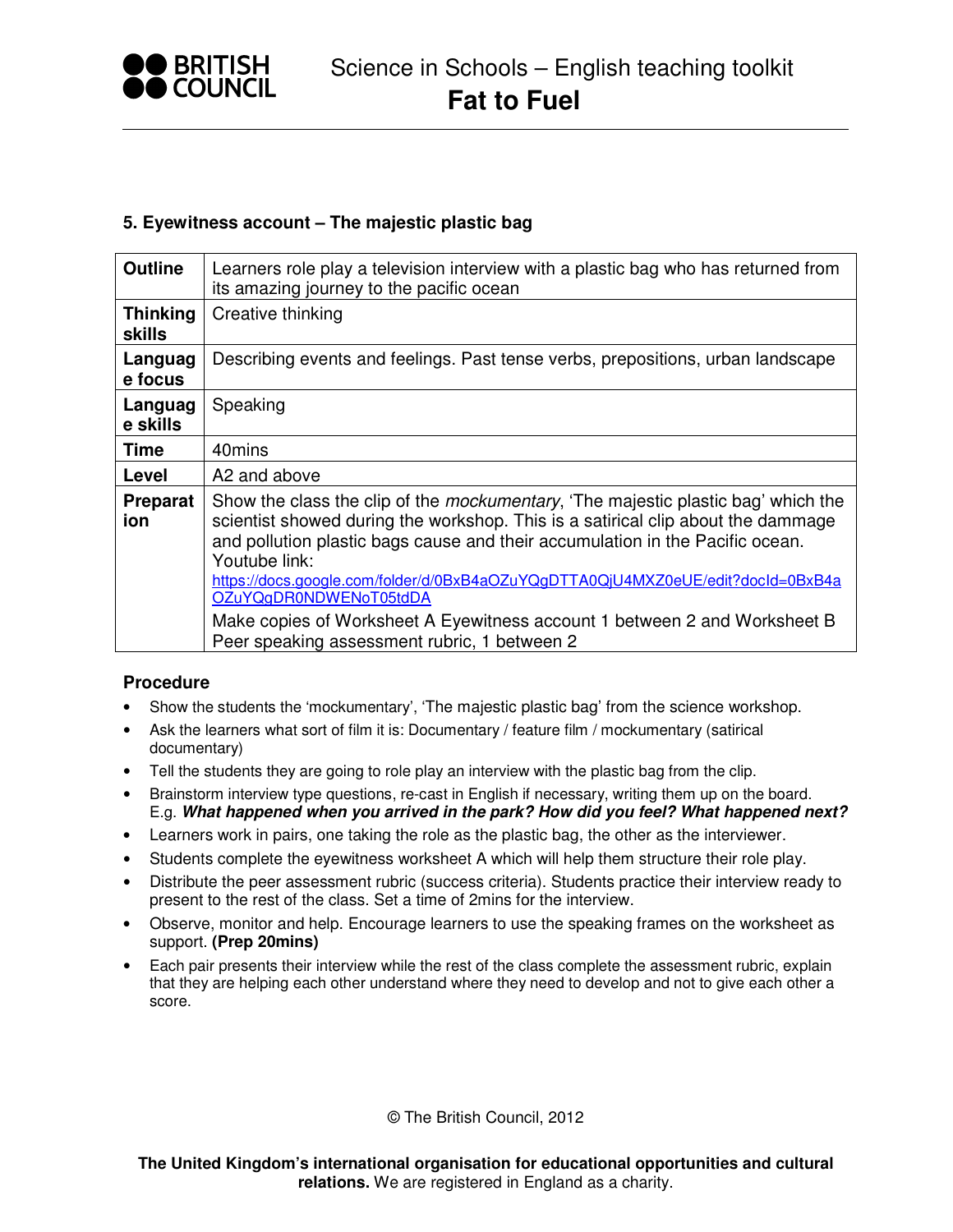

## **5. Eyewitness account – The majestic plastic bag**

| <b>Outline</b>                   | Learners role play a television interview with a plastic bag who has returned from<br>its amazing journey to the pacific ocean                                                                                                                                                                                                                                                               |
|----------------------------------|----------------------------------------------------------------------------------------------------------------------------------------------------------------------------------------------------------------------------------------------------------------------------------------------------------------------------------------------------------------------------------------------|
| <b>Thinking</b><br><b>skills</b> | Creative thinking                                                                                                                                                                                                                                                                                                                                                                            |
| Languag<br>e focus               | Describing events and feelings. Past tense verbs, prepositions, urban landscape                                                                                                                                                                                                                                                                                                              |
| Languag<br>e skills              | Speaking                                                                                                                                                                                                                                                                                                                                                                                     |
| <b>Time</b>                      | 40mins                                                                                                                                                                                                                                                                                                                                                                                       |
| Level                            | A2 and above                                                                                                                                                                                                                                                                                                                                                                                 |
| <b>Preparat</b><br>ion           | Show the class the clip of the <i>mockumentary</i> , 'The majestic plastic bag' which the<br>scientist showed during the workshop. This is a satirical clip about the dammage<br>and pollution plastic bags cause and their accumulation in the Pacific ocean.<br>Youtube link:<br>https://docs.google.com/folder/d/0BxB4aOZuYQgDTTA0QjU4MXZ0eUE/edit?docId=0BxB4a<br>OZuYQgDR0NDWENoT05tdDA |
|                                  | Make copies of Worksheet A Eyewitness account 1 between 2 and Worksheet B<br>Peer speaking assessment rubric, 1 between 2                                                                                                                                                                                                                                                                    |

## **Procedure**

- Show the students the 'mockumentary', 'The majestic plastic bag' from the science workshop.
- Ask the learners what sort of film it is: Documentary / feature film / mockumentary (satirical documentary)
- Tell the students they are going to role play an interview with the plastic bag from the clip.
- Brainstorm interview type questions, re-cast in English if necessary, writing them up on the board. E.g. **What happened when you arrived in the park? How did you feel? What happened next?**
- Learners work in pairs, one taking the role as the plastic bag, the other as the interviewer.
- Students complete the eyewitness worksheet A which will help them structure their role play.
- Distribute the peer assessment rubric (success criteria). Students practice their interview ready to present to the rest of the class. Set a time of 2mins for the interview.
- Observe, monitor and help. Encourage learners to use the speaking frames on the worksheet as support. **(Prep 20mins)**
- Each pair presents their interview while the rest of the class complete the assessment rubric, explain that they are helping each other understand where they need to develop and not to give each other a score.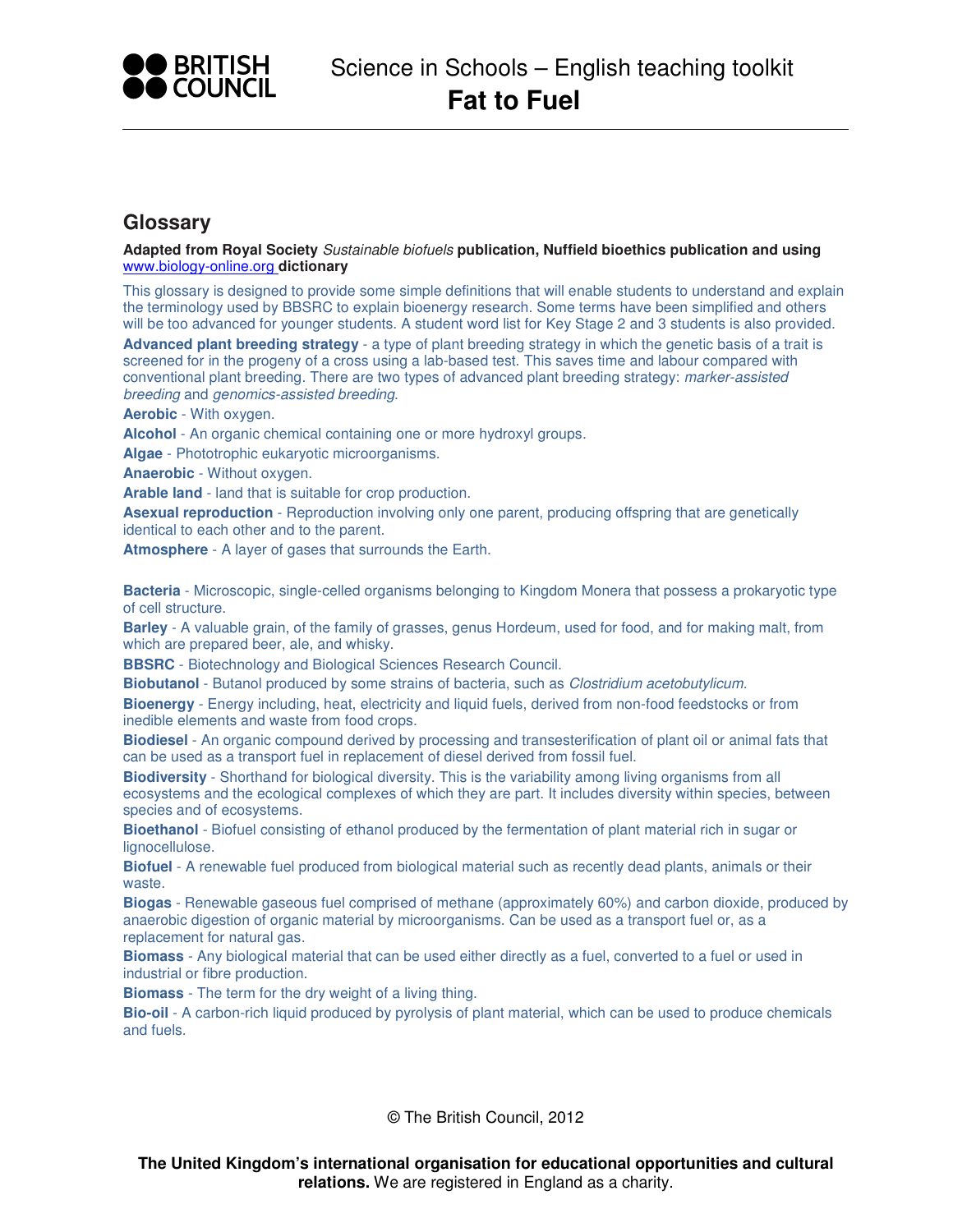

## **Glossary**

**Adapted from Royal Society** Sustainable biofuels **publication, Nuffield bioethics publication and using**  www.biology-online.org **dictionary**

This glossary is designed to provide some simple definitions that will enable students to understand and explain the terminology used by BBSRC to explain bioenergy research. Some terms have been simplified and others will be too advanced for younger students. A student word list for Key Stage 2 and 3 students is also provided.

**Advanced plant breeding strategy** - a type of plant breeding strategy in which the genetic basis of a trait is screened for in the progeny of a cross using a lab-based test. This saves time and labour compared with conventional plant breeding. There are two types of advanced plant breeding strategy: marker-assisted breeding and genomics-assisted breeding.

**Aerobic** - With oxygen.

**Alcohol** - An organic chemical containing one or more hydroxyl groups.

**Algae** - Phototrophic eukaryotic microorganisms.

**Anaerobic** - Without oxygen.

**Arable land** - land that is suitable for crop production.

**Asexual reproduction** - Reproduction involving only one parent, producing offspring that are genetically identical to each other and to the parent.

**Atmosphere** - A layer of gases that surrounds the Earth.

**Bacteria** - Microscopic, single-celled organisms belonging to Kingdom Monera that possess a prokaryotic type of cell structure.

**Barley** - A valuable grain, of the family of grasses, genus Hordeum, used for food, and for making malt, from which are prepared beer, ale, and whisky.

**BBSRC** - Biotechnology and Biological Sciences Research Council.

**Biobutanol** - Butanol produced by some strains of bacteria, such as Clostridium acetobutylicum.

**Bioenergy** - Energy including, heat, electricity and liquid fuels, derived from non-food feedstocks or from inedible elements and waste from food crops.

**Biodiesel** - An organic compound derived by processing and transesterification of plant oil or animal fats that can be used as a transport fuel in replacement of diesel derived from fossil fuel.

**Biodiversity** - Shorthand for biological diversity. This is the variability among living organisms from all ecosystems and the ecological complexes of which they are part. It includes diversity within species, between species and of ecosystems.

**Bioethanol** - Biofuel consisting of ethanol produced by the fermentation of plant material rich in sugar or lignocellulose.

**Biofuel** - A renewable fuel produced from biological material such as recently dead plants, animals or their waste.

**Biogas** - Renewable gaseous fuel comprised of methane (approximately 60%) and carbon dioxide, produced by anaerobic digestion of organic material by microorganisms. Can be used as a transport fuel or, as a replacement for natural gas.

**Biomass** - Any biological material that can be used either directly as a fuel, converted to a fuel or used in industrial or fibre production.

**Biomass** - The term for the dry weight of a living thing.

**Bio-oil** - A carbon-rich liquid produced by pyrolysis of plant material, which can be used to produce chemicals and fuels.

© The British Council, 2012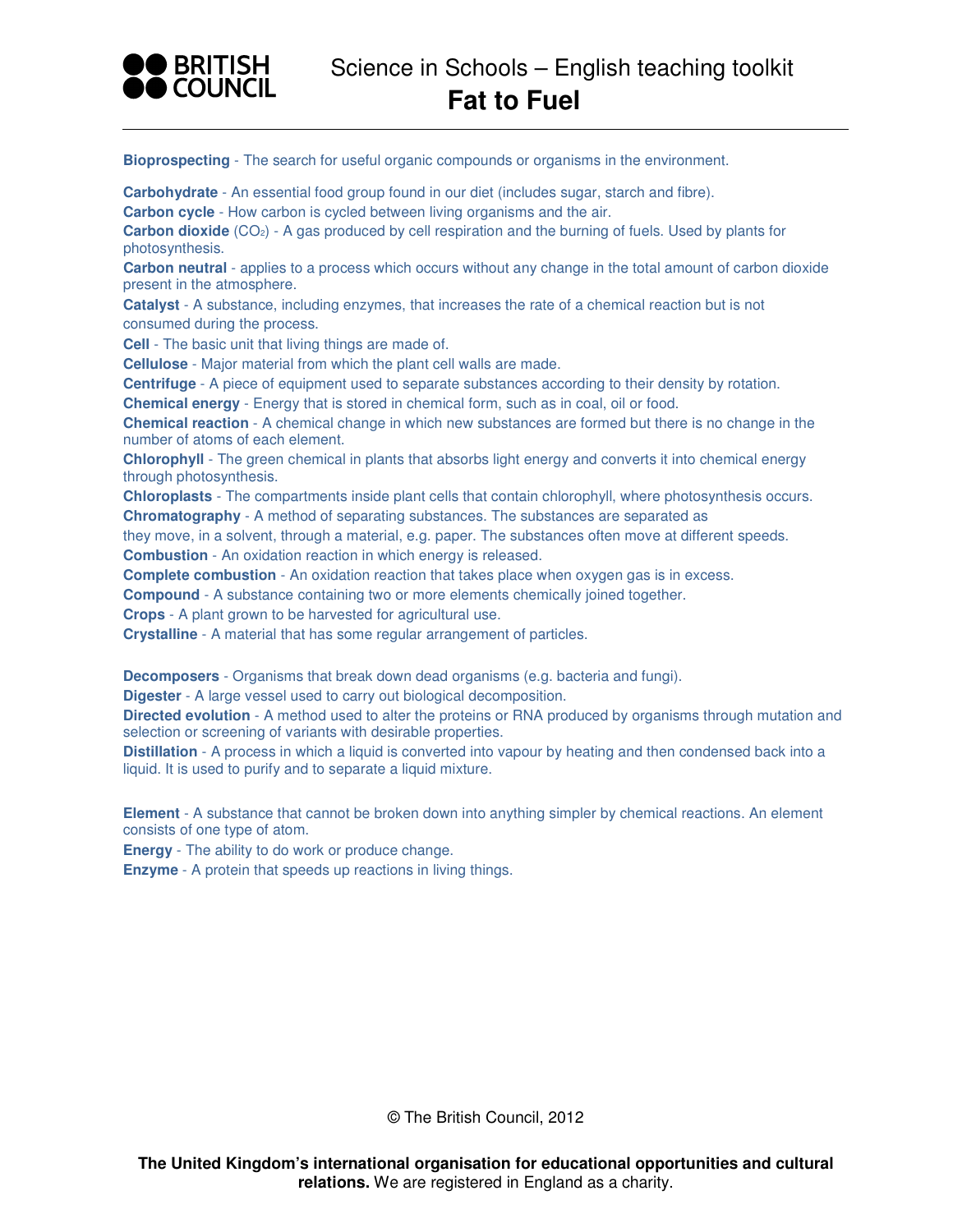

**Bioprospecting** - The search for useful organic compounds or organisms in the environment.

**Carbohydrate** - An essential food group found in our diet (includes sugar, starch and fibre).

**Carbon cycle** - How carbon is cycled between living organisms and the air.

Carbon dioxide (CO<sub>2</sub>) - A gas produced by cell respiration and the burning of fuels. Used by plants for photosynthesis.

**Carbon neutral** - applies to a process which occurs without any change in the total amount of carbon dioxide present in the atmosphere.

**Catalyst** - A substance, including enzymes, that increases the rate of a chemical reaction but is not consumed during the process.

**Cell** - The basic unit that living things are made of.

**Cellulose** - Major material from which the plant cell walls are made.

**Centrifuge** - A piece of equipment used to separate substances according to their density by rotation. **Chemical energy** - Energy that is stored in chemical form, such as in coal, oil or food.

**Chemical reaction** - A chemical change in which new substances are formed but there is no change in the number of atoms of each element.

**Chlorophyll** - The green chemical in plants that absorbs light energy and converts it into chemical energy through photosynthesis.

**Chloroplasts** - The compartments inside plant cells that contain chlorophyll, where photosynthesis occurs. **Chromatography** - A method of separating substances. The substances are separated as

they move, in a solvent, through a material, e.g. paper. The substances often move at different speeds. **Combustion** - An oxidation reaction in which energy is released.

**Complete combustion** - An oxidation reaction that takes place when oxygen gas is in excess.

**Compound** - A substance containing two or more elements chemically joined together.

**Crops** - A plant grown to be harvested for agricultural use.

**Crystalline** - A material that has some regular arrangement of particles.

**Decomposers** - Organisms that break down dead organisms (e.g. bacteria and fungi).

**Digester** - A large vessel used to carry out biological decomposition.

**Directed evolution** - A method used to alter the proteins or RNA produced by organisms through mutation and selection or screening of variants with desirable properties.

**Distillation** - A process in which a liquid is converted into vapour by heating and then condensed back into a liquid. It is used to purify and to separate a liquid mixture.

**Element** - A substance that cannot be broken down into anything simpler by chemical reactions. An element consists of one type of atom.

**Energy** - The ability to do work or produce change.

**Enzyme** - A protein that speeds up reactions in living things.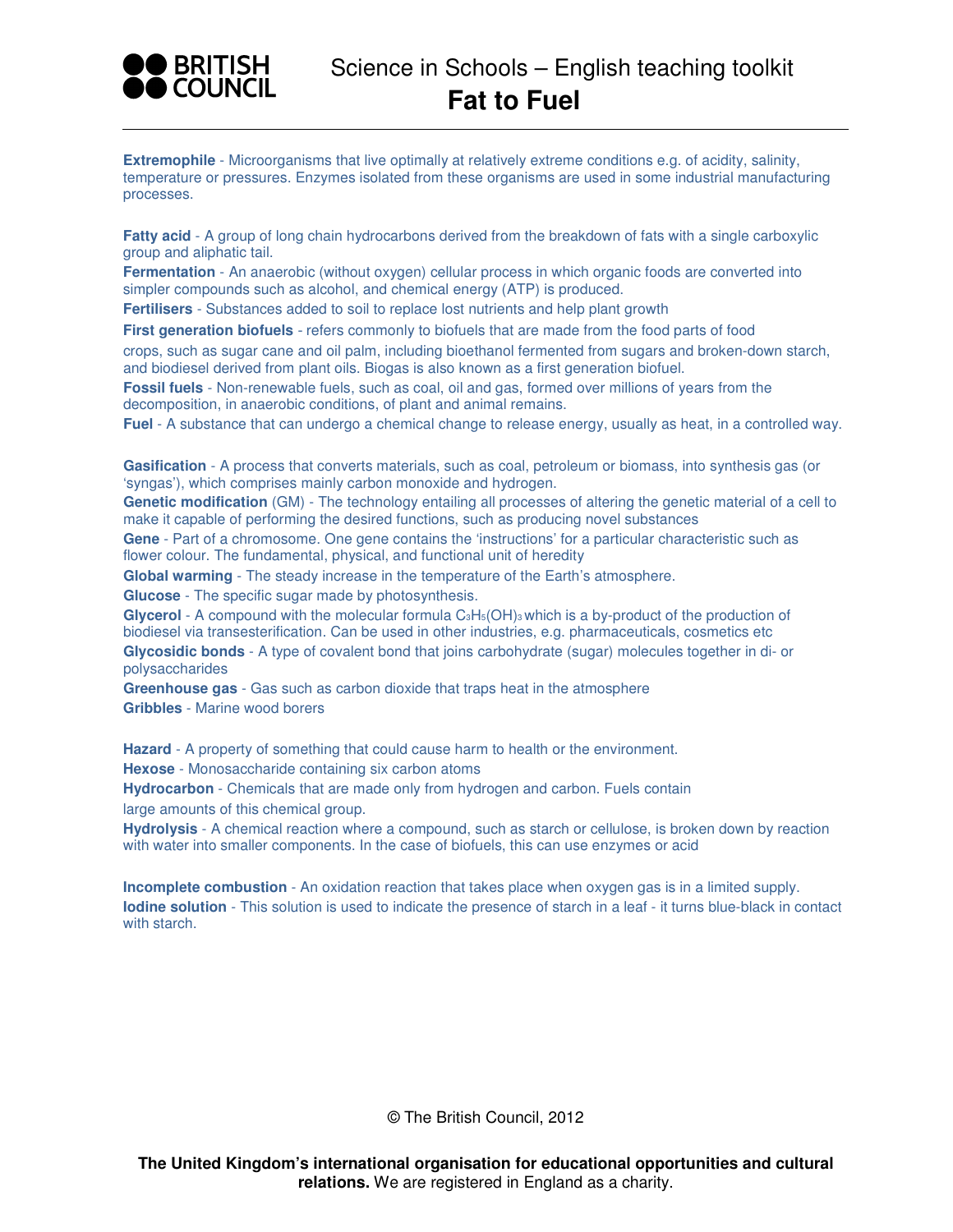

**Extremophile** - Microorganisms that live optimally at relatively extreme conditions e.g. of acidity, salinity, temperature or pressures. Enzymes isolated from these organisms are used in some industrial manufacturing processes.

**Fatty acid** - A group of long chain hydrocarbons derived from the breakdown of fats with a single carboxylic group and aliphatic tail.

**Fermentation** - An anaerobic (without oxygen) cellular process in which organic foods are converted into simpler compounds such as alcohol, and chemical energy (ATP) is produced.

**Fertilisers** - Substances added to soil to replace lost nutrients and help plant growth

**First generation biofuels** - refers commonly to biofuels that are made from the food parts of food crops, such as sugar cane and oil palm, including bioethanol fermented from sugars and broken-down starch, and biodiesel derived from plant oils. Biogas is also known as a first generation biofuel.

**Fossil fuels** - Non-renewable fuels, such as coal, oil and gas, formed over millions of years from the decomposition, in anaerobic conditions, of plant and animal remains.

**Fuel** - A substance that can undergo a chemical change to release energy, usually as heat, in a controlled way.

**Gasification** - A process that converts materials, such as coal, petroleum or biomass, into synthesis gas (or 'syngas'), which comprises mainly carbon monoxide and hydrogen.

**Genetic modification** (GM) - The technology entailing all processes of altering the genetic material of a cell to make it capable of performing the desired functions, such as producing novel substances

**Gene** - Part of a chromosome. One gene contains the 'instructions' for a particular characteristic such as flower colour. The fundamental, physical, and functional unit of heredity

**Global warming** - The steady increase in the temperature of the Earth's atmosphere.

**Glucose** - The specific sugar made by photosynthesis.

Glycerol - A compound with the molecular formula C<sub>3</sub>H<sub>5</sub>(OH)<sub>3</sub> which is a by-product of the production of biodiesel via transesterification. Can be used in other industries, e.g. pharmaceuticals, cosmetics etc

**Glycosidic bonds** - A type of covalent bond that joins carbohydrate (sugar) molecules together in di- or polysaccharides

**Greenhouse gas** - Gas such as carbon dioxide that traps heat in the atmosphere **Gribbles** - Marine wood borers

**Hazard** - A property of something that could cause harm to health or the environment.

**Hexose** - Monosaccharide containing six carbon atoms

**Hydrocarbon** - Chemicals that are made only from hydrogen and carbon. Fuels contain large amounts of this chemical group.

**Hydrolysis** - A chemical reaction where a compound, such as starch or cellulose, is broken down by reaction with water into smaller components. In the case of biofuels, this can use enzymes or acid

**Incomplete combustion** - An oxidation reaction that takes place when oxygen gas is in a limited supply. **Iodine solution** - This solution is used to indicate the presence of starch in a leaf - it turns blue-black in contact with starch.

© The British Council, 2012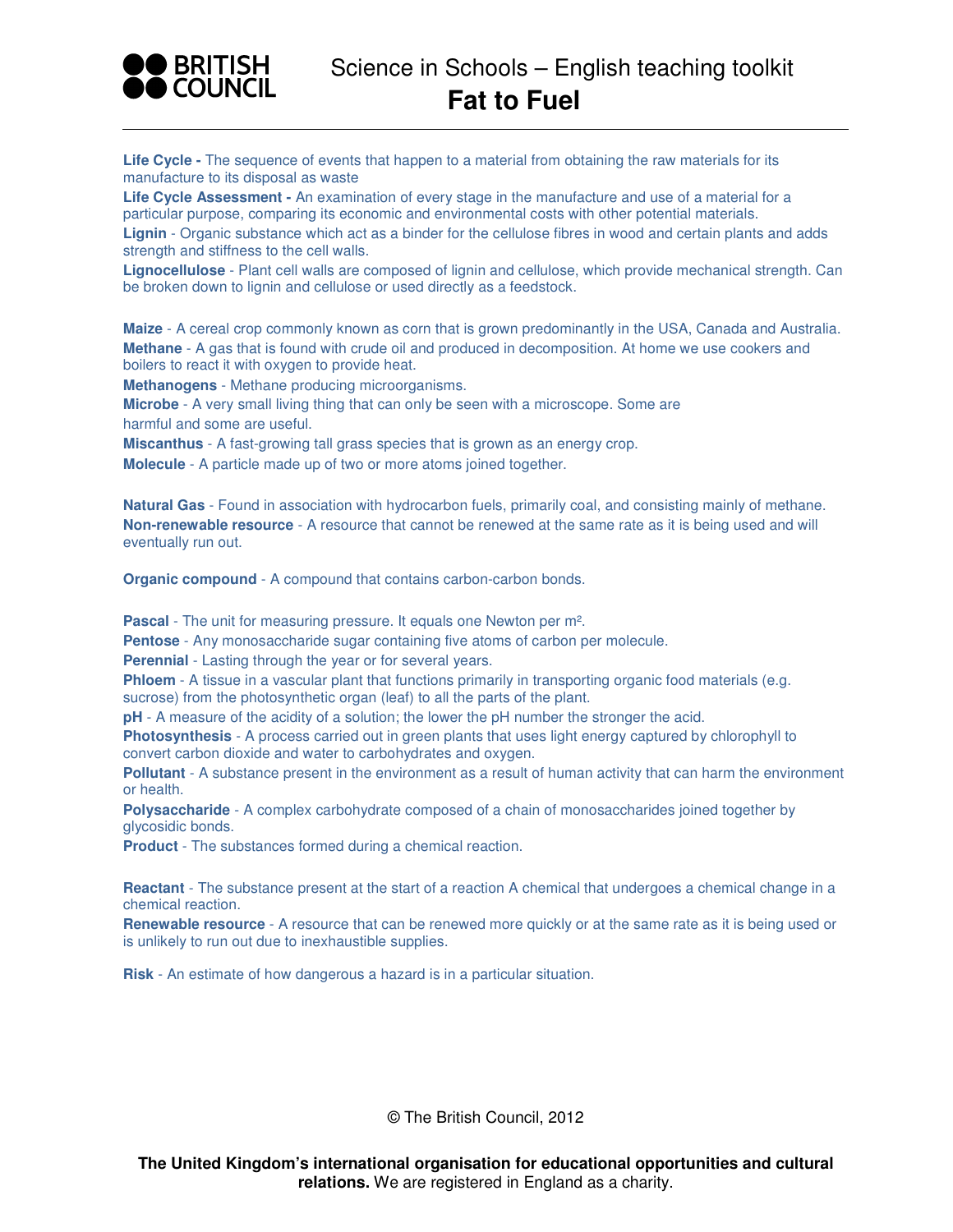

Life Cycle - The sequence of events that happen to a material from obtaining the raw materials for its manufacture to its disposal as waste

**Life Cycle Assessment -** An examination of every stage in the manufacture and use of a material for a particular purpose, comparing its economic and environmental costs with other potential materials.

**Lignin** - Organic substance which act as a binder for the cellulose fibres in wood and certain plants and adds strength and stiffness to the cell walls.

**Lignocellulose** - Plant cell walls are composed of lignin and cellulose, which provide mechanical strength. Can be broken down to lignin and cellulose or used directly as a feedstock.

**Maize** - A cereal crop commonly known as corn that is grown predominantly in the USA, Canada and Australia. **Methane** - A gas that is found with crude oil and produced in decomposition. At home we use cookers and boilers to react it with oxygen to provide heat.

**Methanogens** - Methane producing microorganisms.

**Microbe** - A very small living thing that can only be seen with a microscope. Some are harmful and some are useful.

**Miscanthus** - A fast-growing tall grass species that is grown as an energy crop.

**Molecule** - A particle made up of two or more atoms joined together.

**Natural Gas** - Found in association with hydrocarbon fuels, primarily coal, and consisting mainly of methane. **Non-renewable resource** - A resource that cannot be renewed at the same rate as it is being used and will eventually run out.

**Organic compound** - A compound that contains carbon-carbon bonds.

**Pascal** - The unit for measuring pressure. It equals one Newton per m².

**Pentose** - Any monosaccharide sugar containing five atoms of carbon per molecule.

**Perennial** - Lasting through the year or for several years.

**Phloem** - A tissue in a vascular plant that functions primarily in transporting organic food materials (e.g. sucrose) from the photosynthetic organ (leaf) to all the parts of the plant.

**pH** - A measure of the acidity of a solution; the lower the pH number the stronger the acid.

**Photosynthesis** - A process carried out in green plants that uses light energy captured by chlorophyll to convert carbon dioxide and water to carbohydrates and oxygen.

**Pollutant** - A substance present in the environment as a result of human activity that can harm the environment or health.

**Polysaccharide** - A complex carbohydrate composed of a chain of monosaccharides joined together by glycosidic bonds.

**Product** - The substances formed during a chemical reaction.

**Reactant** - The substance present at the start of a reaction A chemical that undergoes a chemical change in a chemical reaction.

**Renewable resource** - A resource that can be renewed more quickly or at the same rate as it is being used or is unlikely to run out due to inexhaustible supplies.

**Risk** - An estimate of how dangerous a hazard is in a particular situation.

© The British Council, 2012